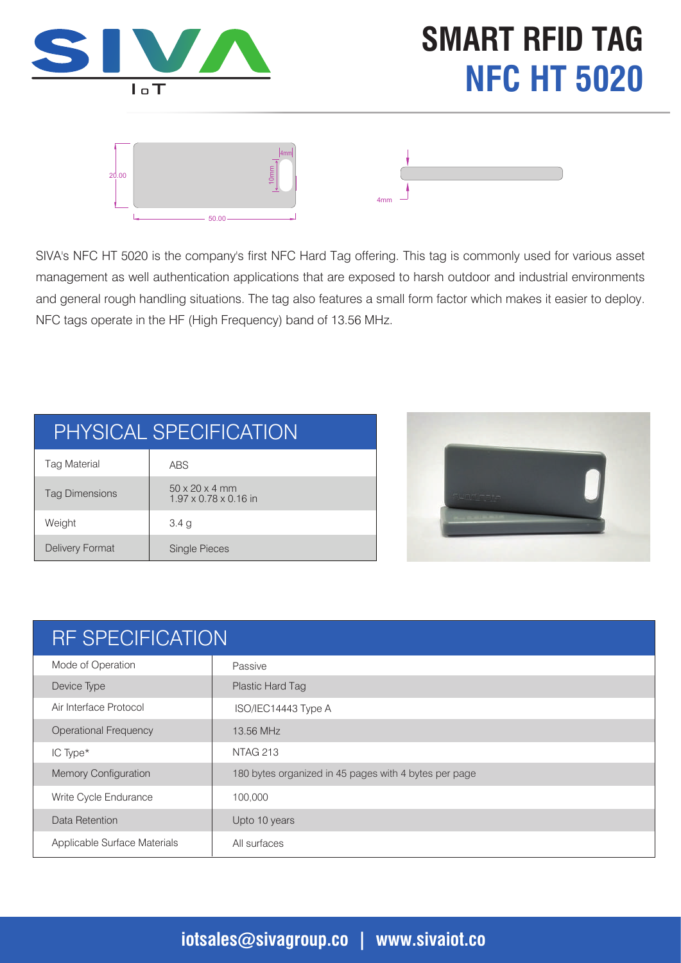

# **SMART RFID TAG NFC HT 5020**



SIVA's NFC HT 5020 is the company's first NFC Hard Tag offering. This tag is commonly used for various asset management as well authentication applications that are exposed to harsh outdoor and industrial environments and general rough handling situations. The tag also features a small form factor which makes it easier to deploy. NFC tags operate in the HF (High Frequency) band of 13.56 MHz.

| PHYSICAL SPECIFICATION |                                                                 |  |
|------------------------|-----------------------------------------------------------------|--|
| <b>Tag Material</b>    | <b>ABS</b>                                                      |  |
| <b>Tag Dimensions</b>  | $50 \times 20 \times 4$ mm<br>$1.97 \times 0.78 \times 0.16$ in |  |
| Weight                 | 3.4 <sub>g</sub>                                                |  |
| Delivery Format        | <b>Single Pieces</b>                                            |  |



| <b>RF SPECIFICATION</b>      |                                                       |  |
|------------------------------|-------------------------------------------------------|--|
| Mode of Operation            | Passive                                               |  |
| Device Type                  | Plastic Hard Tag                                      |  |
| Air Interface Protocol       | ISO/IEC14443 Type A                                   |  |
| <b>Operational Frequency</b> | 13.56 MHz                                             |  |
| IC Type*                     | <b>NTAG 213</b>                                       |  |
| <b>Memory Configuration</b>  | 180 bytes organized in 45 pages with 4 bytes per page |  |
| Write Cycle Endurance        | 100,000                                               |  |
| Data Retention               | Upto 10 years                                         |  |
| Applicable Surface Materials | All surfaces                                          |  |